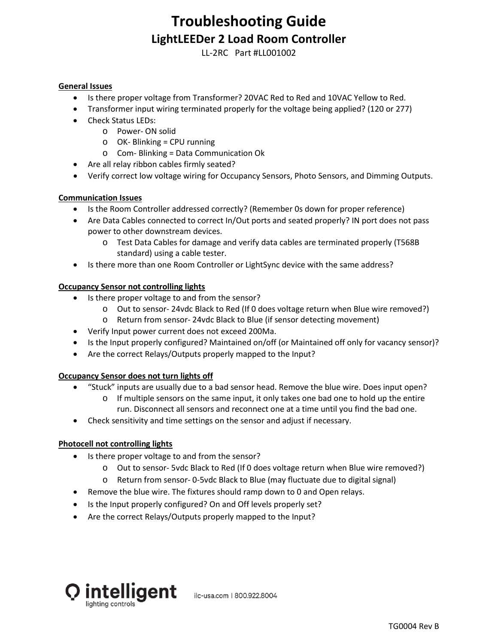# **Troubleshooting Guide LightLEEDer 2 Load Room Controller**

LL-2RC Part #LL001002

### **General Issues**

- Is there proper voltage from Transformer? 20VAC Red to Red and 10VAC Yellow to Red.
- Transformer input wiring terminated properly for the voltage being applied? (120 or 277)
- Check Status LEDs:
	- o Power- ON solid
	- o OK- Blinking = CPU running
	- o Com- Blinking = Data Communication Ok
- Are all relay ribbon cables firmly seated?
- Verify correct low voltage wiring for Occupancy Sensors, Photo Sensors, and Dimming Outputs.

### **Communication Issues**

- Is the Room Controller addressed correctly? (Remember 0s down for proper reference)
- Are Data Cables connected to correct In/Out ports and seated properly? IN port does not pass power to other downstream devices.
	- o Test Data Cables for damage and verify data cables are terminated properly (T568B standard) using a cable tester.
- Is there more than one Room Controller or LightSync device with the same address?

### **Occupancy Sensor not controlling lights**

- Is there proper voltage to and from the sensor?
	- o Out to sensor- 24vdc Black to Red (If 0 does voltage return when Blue wire removed?)
	- o Return from sensor- 24vdc Black to Blue (if sensor detecting movement)
- Verify Input power current does not exceed 200Ma.
- Is the Input properly configured? Maintained on/off (or Maintained off only for vacancy sensor)?
- Are the correct Relays/Outputs properly mapped to the Input?

## **Occupancy Sensor does not turn lights off**

- "Stuck" inputs are usually due to a bad sensor head. Remove the blue wire. Does input open?
	- o If multiple sensors on the same input, it only takes one bad one to hold up the entire run. Disconnect all sensors and reconnect one at a time until you find the bad one.
- Check sensitivity and time settings on the sensor and adjust if necessary.

#### **Photocell not controlling lights**

- Is there proper voltage to and from the sensor?
	- o Out to sensor- 5vdc Black to Red (If 0 does voltage return when Blue wire removed?)
	- o Return from sensor- 0-5vdc Black to Blue (may fluctuate due to digital signal)
- Remove the blue wire. The fixtures should ramp down to 0 and Open relays.
- Is the Input properly configured? On and Off levels properly set?
- Are the correct Relays/Outputs properly mapped to the Input?



ilc-usa.com | 800.922.8004